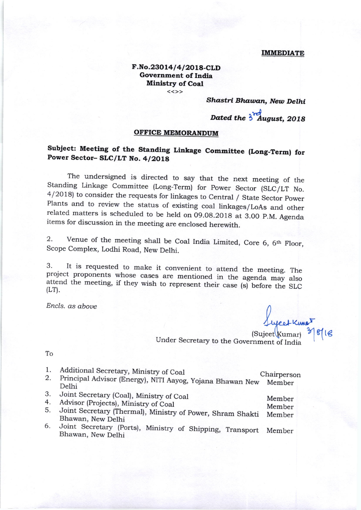#### **IMMEDIATE**

### F.No.23014/4/2018-CLD **Government of India Ministry of Coal**  $<<$ >>

## Shastri Bhawan, New Delhi

Dated the 3 August, 2018

### OFFICE MEMORANDUM

# Subject: Meeting of the Standing Linkage Committee (Long-Term) for Power Sector-SLC/LT No. 4/2018

The undersigned is directed to say that the next meeting of the Standing Linkage Committee (Long-Term) for Power Sector (SLC/LT No. 4/2018) to consider the requests for linkages to Central / State Sector Power Plants and to review the status of existing coal linkages/LoAs and other related matters is scheduled to be held on 09.08.2018 at 3.00 P.M. Agenda items for discussion in the meeting are enclosed herewith.

Venue of the meeting shall be Coal India Limited, Core 6, 6th Floor, 2. Scope Complex, Lodhi Road, New Delhi.

It is requested to make it convenient to attend the meeting. The 3. project proponents whose cases are mentioned in the agenda may also attend the meeting, if they wish to represent their case (s) before the SLC  $(LT)$ .

Encls. as above

 $(Suieet$ (Kumar)

Under Secretary to the Government of India

To

- 1. Additional Secretary, Ministry of Coal
- Principal Advisor (Energy), NITI Aayog, Yojana Bhawan New Member 2. Delhi
- 3. Joint Secretary (Coal), Ministry of Coal
- Advisor (Projects), Ministry of Coal 4.
- Member Joint Secretary (Thermal), Ministry of Power, Shram Shakti Member 5. Bhawan, New Delhi
- Joint Secretary (Ports), Ministry of Shipping, Transport Member 6. Bhawan, New Delhi

Chairperson

Member